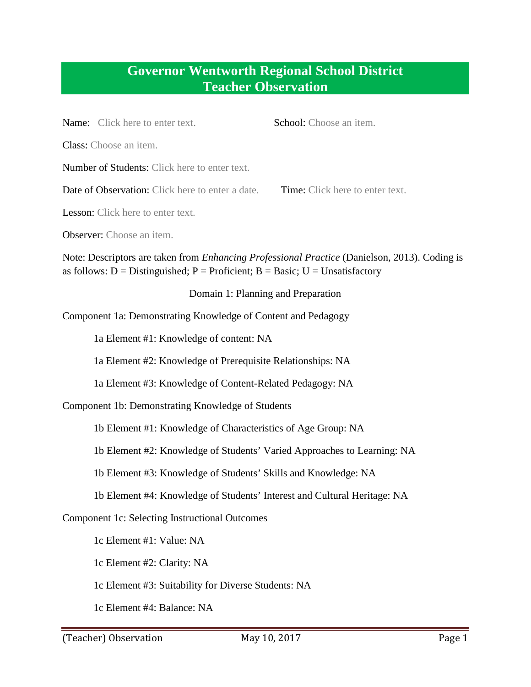## **Governor Wentworth Regional School District Teacher Observation**

| School: Choose an item.<br>Name: Click here to enter text.                                                                                                                           |  |
|--------------------------------------------------------------------------------------------------------------------------------------------------------------------------------------|--|
| Class: Choose an item.                                                                                                                                                               |  |
| Number of Students: Click here to enter text.                                                                                                                                        |  |
| Date of Observation: Click here to enter a date.<br>Time: Click here to enter text.                                                                                                  |  |
| Lesson: Click here to enter text.                                                                                                                                                    |  |
| <b>Observer:</b> Choose an item.                                                                                                                                                     |  |
| Note: Descriptors are taken from <i>Enhancing Professional Practice</i> (Danielson, 2013). Coding is<br>as follows: D = Distinguished; P = Proficient; B = Basic; U = Unsatisfactory |  |
| Domain 1: Planning and Preparation                                                                                                                                                   |  |
| Component 1a: Demonstrating Knowledge of Content and Pedagogy                                                                                                                        |  |
| 1a Element #1: Knowledge of content: NA                                                                                                                                              |  |
| 1a Element #2: Knowledge of Prerequisite Relationships: NA                                                                                                                           |  |
| 1a Element #3: Knowledge of Content-Related Pedagogy: NA                                                                                                                             |  |
| Component 1b: Demonstrating Knowledge of Students                                                                                                                                    |  |
| 1b Element #1: Knowledge of Characteristics of Age Group: NA                                                                                                                         |  |
| 1b Element #2: Knowledge of Students' Varied Approaches to Learning: NA                                                                                                              |  |
| 1b Element #3: Knowledge of Students' Skills and Knowledge: NA                                                                                                                       |  |

1b Element #4: Knowledge of Students' Interest and Cultural Heritage: NA

Component 1c: Selecting Instructional Outcomes

1c Element #1: Value: NA

1c Element #2: Clarity: NA

1c Element #3: Suitability for Diverse Students: NA

1c Element #4: Balance: NA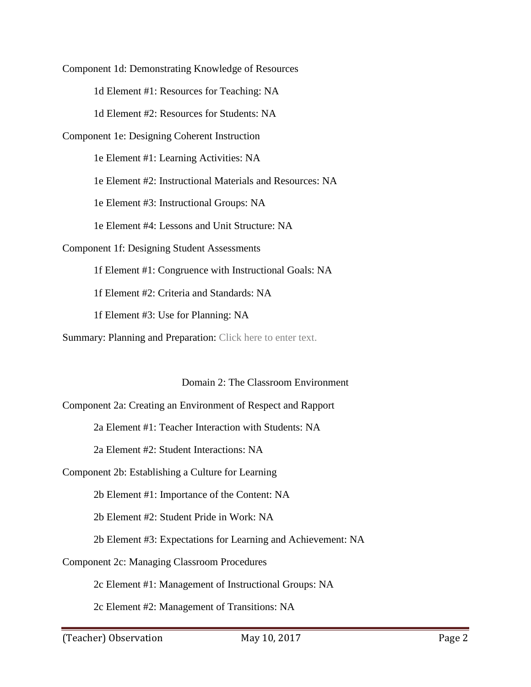1d Element #1: Resources for Teaching: NA 1d Element #2: Resources for Students: NA Component 1e: Designing Coherent Instruction 1e Element #3: Instructional Groups: NA 1e Element #4: Lessons and Unit Structure: NA 1f Element #2: Criteria and Standards: NA 1f Element #3: Use for Planning: NA Component 1d: Demonstrating Knowledge of Resources 1e Element #1: Learning Activities: NA 1e Element #2: Instructional Materials and Resources: NA Component 1f: Designing Student Assessments 1f Element #1: Congruence with Instructional Goals: NA

Summary: Planning and Preparation: Click here to enter text.

Domain 2: The Classroom Environment

Component 2a: Creating an Environment of Respect and Rapport

2a Element #1: Teacher Interaction with Students: NA

2a Element #2: Student Interactions: NA

Component 2b: Establishing a Culture for Learning

2b Element #1: Importance of the Content: NA

2b Element #2: Student Pride in Work: NA

- 2b Element #3: Expectations for Learning and Achievement: NA
- **Component 2c: Managing Classroom Procedures**

Component 2c: Managing Classroom Procedures 2c Element #1: Management of Instructional Groups: NA

2c Element #2: Management of Transitions: NA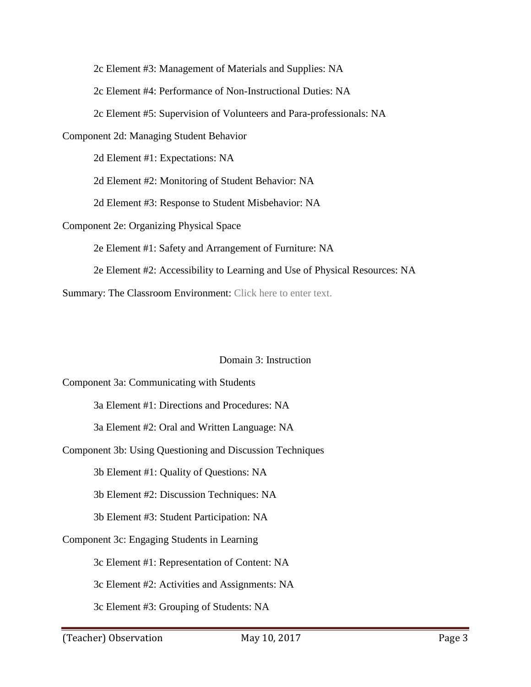2c Element #3: Management of Materials and Supplies: NA

2c Element #4: Performance of Non-Instructional Duties: NA

2c Element #5: Supervision of Volunteers and Para-professionals: NA

Component 2d: Managing Student Behavior 2d Element #1: Expectations: NA

2d Element #1: Expectations: NA

2d Element #2: Monitoring of Student Behavior: NA

2d Element #3: Response to Student Misbehavior: NA

Component 2e: Organizing Physical Space

2e Element #1: Safety and Arrangement of Furniture: NA

2e Element #2: Accessibility to Learning and Use of Physical Resources: NA

Summary: The Classroom Environment: Click here to enter text.

## Domain 3: Instruction

 3a Element #1: Directions and Procedures: NA 3a Element #2: Oral and Written Language: NA 3b Element #1: Quality of Questions: NA 3b Element #2: Discussion Techniques: NA 3c Element #1: Representation of Content: NA 3c Element #3: Grouping of Students: NA Component 3a: Communicating with Students Component 3b: Using Questioning and Discussion Techniques 3b Element #3: Student Participation: NA Component 3c: Engaging Students in Learning 3c Element #2: Activities and Assignments: NA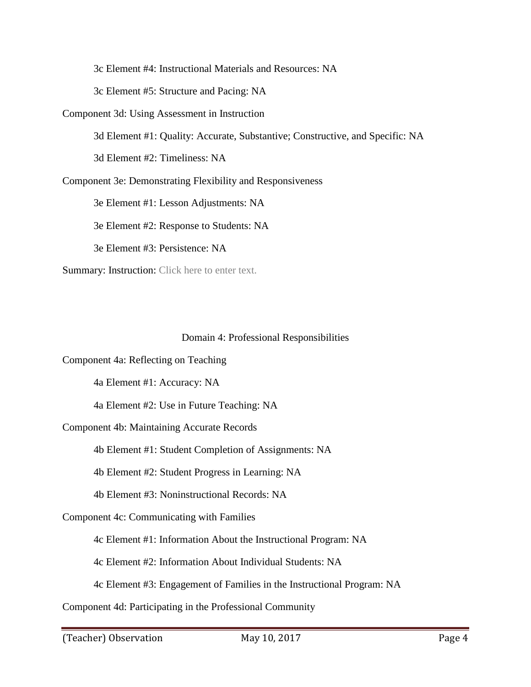3c Element #4: Instructional Materials and Resources: NA 3c Element #5: Structure and Pacing: NA

Component 3d: Using Assessment in Instruction

3d Element #1: Quality: Accurate, Substantive; Constructive, and Specific: NA

3d Element #2: Timeliness: NA

Component 3e: Demonstrating Flexibility and Responsiveness

3e Element #1: Lesson Adjustments: NA

3e Element #2: Response to Students: NA

3e Element #3: Persistence: NA

Summary: Instruction: Click here to enter text.

## Domain 4: Professional Responsibilities

Component 4a: Reflecting on Teaching

4a Element #1: Accuracy: NA

4a Element #2: Use in Future Teaching: NA

Component 4b: Maintaining Accurate Records

4b Element #1: Student Completion of Assignments: NA

4b Element #2: Student Progress in Learning: NA

4b Element #3: Noninstructional Records: NA

Component 4c: Communicating with Families

4c Element #1: Information About the Instructional Program: NA

4c Element #2: Information About Individual Students: NA

4c Element #3: Engagement of Families in the Instructional Program: NA

Component 4d: Participating in the Professional Community